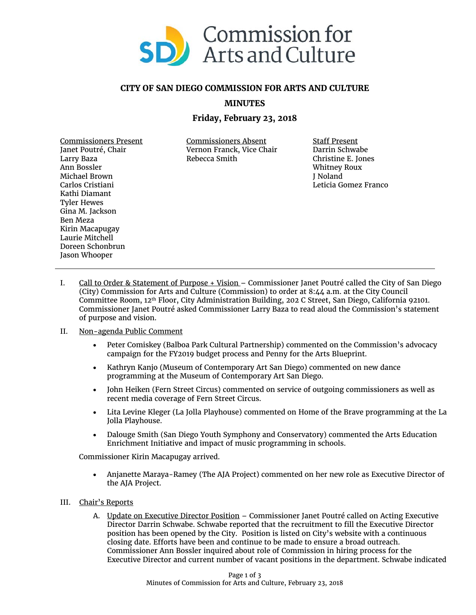

## **CITY OF SAN DIEGO COMMISSION FOR ARTS AND CULTURE**

**MINUTES**

## **Friday, February 23, 2018**

Commissioners Present Janet Poutré, Chair Larry Baza Ann Bossler Michael Brown Carlos Cristiani Kathi Diamant Tyler Hewes Gina M. Jackson Ben Meza Kirin Macapugay Laurie Mitchell Doreen Schonbrun Jason Whooper

Commissioners Absent Vernon Franck, Vice Chair Rebecca Smith

Staff Present Darrin Schwabe Christine E. Jones Whitney Roux J Noland Leticia Gomez Franco

I. Call to Order & Statement of Purpose + Vision – Commissioner Janet Poutré called the City of San Diego (City) Commission for Arts and Culture (Commission) to order at 8:44 a.m. at the City Council Committee Room, 12th Floor, City Administration Building, 202 C Street, San Diego, California 92101. Commissioner Janet Poutré asked Commissioner Larry Baza to read aloud the Commission's statement of purpose and vision.

## II. Non-agenda Public Comment

- Peter Comiskey (Balboa Park Cultural Partnership) commented on the Commission's advocacy campaign for the FY2019 budget process and Penny for the Arts Blueprint.
- Kathryn Kanjo (Museum of Contemporary Art San Diego) commented on new dance programming at the Museum of Contemporary Art San Diego.
- John Heiken (Fern Street Circus) commented on service of outgoing commissioners as well as recent media coverage of Fern Street Circus.
- Lita Levine Kleger (La Jolla Playhouse) commented on Home of the Brave programming at the La Jolla Playhouse.
- Dalouge Smith (San Diego Youth Symphony and Conservatory) commented the Arts Education Enrichment Initiative and impact of music programming in schools.

Commissioner Kirin Macapugay arrived.

• Anjanette Maraya-Ramey (The AJA Project) commented on her new role as Executive Director of the AJA Project.

## III. Chair's Reports

A. Update on Executive Director Position – Commissioner Janet Poutré called on Acting Executive Director Darrin Schwabe. Schwabe reported that the recruitment to fill the Executive Director position has been opened by the City. Position is listed on City's website with a continuous closing date. Efforts have been and continue to be made to ensure a broad outreach. Commissioner Ann Bossler inquired about role of Commission in hiring process for the Executive Director and current number of vacant positions in the department. Schwabe indicated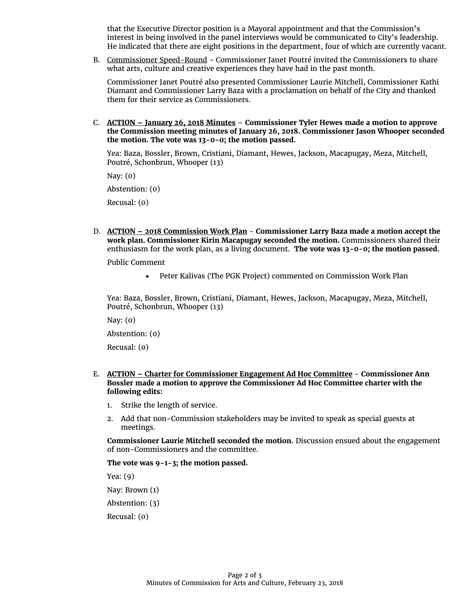that the Executive Director position is a Mayoral appointment and that the Commission's interest in being involved in the panel interviews would be communicated to City's leadership. He indicated that there are eight positions in the department, four of which are currently vacant.

B. Commissioner Speed-Round - Commissioner Janet Poutré invited the Commissioners to share what arts, culture and creative experiences they have had in the past month.

Commissioner Janet Poutré also presented Commissioner Laurie Mitchell, Commissioner Kathi Diamant and Commissioner Larry Baza with a proclamation on behalf of the City and thanked them for their service as Commissioners.

C. **ACTION – January 26, 2018 Minutes** – **Commissioner Tyler Hewes made a motion to approve the Commission meeting minutes of January 26, 2018. Commissioner Jason Whooper seconded the motion. The vote was 13-0-0; the motion passed.**

Yea: Baza, Bossler, Brown, Cristiani, Diamant, Hewes, Jackson, Macapugay, Meza, Mitchell, Poutré, Schonbrun, Whooper (13)

Nay: (0)

Abstention: (0)

Recusal: (0)

D. **ACTION – 2018 Commission Work Plan** - **Commissioner Larry Baza made a motion accept the work plan. Commissioner Kirin Macapugay seconded the motion.** Commissioners shared their enthusiasm for the work plan, as a living document. **The vote was 13-0-0; the motion passed.**

Public Comment

• Peter Kalivas (The PGK Project) commented on Commission Work Plan

Yea: Baza, Bossler, Brown, Cristiani, Diamant, Hewes, Jackson, Macapugay, Meza, Mitchell, Poutré, Schonbrun, Whooper (13)

Nay: (0)

Abstention: (0)

Recusal: (0)

- E. **ACTION – Charter for Commissioner Engagement Ad Hoc Committee Commissioner Ann Bossler made a motion to approve the Commissioner Ad Hoc Committee charter with the following edits:**
	- 1. Strike the length of service.
	- 2. Add that non-Commission stakeholders may be invited to speak as special guests at meetings.

**Commissioner Laurie Mitchell seconded the motion.** Discussion ensued about the engagement of non-Commissioners and the committee.

**The vote was 9-1-3; the motion passed.**

Yea: (9)

Nay: Brown (1)

Abstention: (3)

Recusal: (0)